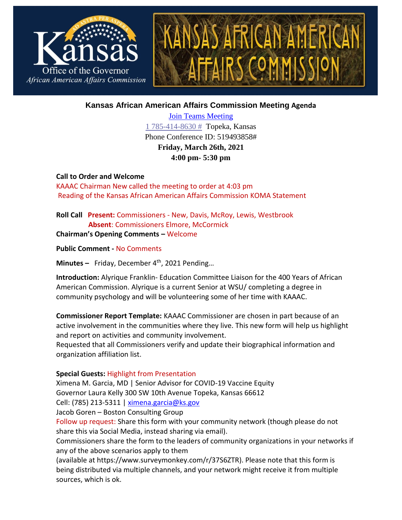

**Kansas African American Affairs Commission Meeting Agenda** 

[Join Teams Meeting](https://teams.microsoft.com/l/meetup-join/19%3ameeting_OGZmMzQ0NzgtMjI0My00YjY2LTg5OGMtZDdiZTE3MzY1NjM3%40thread.v2/0?context=%7b%22Tid%22%3a%22dcae8101-c92d-480c-bc43-c6761ccccc5a%22%2c%22Oid%22%3a%223d455b55-1611-400f-b548-b8a6b71c2940%22%7d) [1 785-414-8630 #](tel:+17854148630,,88293602# ) Topeka, Kansas Phone Conference ID: 519493858# **Friday, March 26th, 2021 4:00 pm- 5:30 pm**

**Call to Order and Welcome**  KAAAC Chairman New called the meeting to order at 4:03 pm Reading of the Kansas African American Affairs Commission KOMA Statement

**Roll Call Present:** Commissioners - New, Davis, McRoy, Lewis, Westbrook  **Absent**: Commissioners Elmore, McCormick

**Chairman's Opening Comments –** Welcome

**Public Comment -** No Comments

**Minutes –** Friday, December 4 th , 2021 Pending…

**Introduction:** Alyrique Franklin- Education Committee Liaison for the 400 Years of African American Commission. Alyrique is a current Senior at WSU/ completing a degree in community psychology and will be volunteering some of her time with KAAAC.

**Commissioner Report Template:** KAAAC Commissioner are chosen in part because of an active involvement in the communities where they live. This new form will help us highlight and report on activities and community involvement.

Requested that all Commissioners verify and update their biographical information and organization affiliation list.

# **Special Guests:** Highlight from Presentation

Ximena M. Garcia, MD | Senior Advisor for COVID-19 Vaccine Equity Governor Laura Kelly 300 SW 10th Avenue Topeka, Kansas 66612 Cell: (785) 213-5311 [| ximena.garcia@ks.gov](mailto:ximena.garcia@ks.gov)

Jacob Goren – Boston Consulting Group

Follow up request: Share this form with your community network (though please do not share this via Social Media, instead sharing via email).

Commissioners share the form to the leaders of community organizations in your networks if any of the above scenarios apply to them

(available at https://www.surveymonkey.com/r/37S6ZTR). Please note that this form is being distributed via multiple channels, and your network might receive it from multiple sources, which is ok.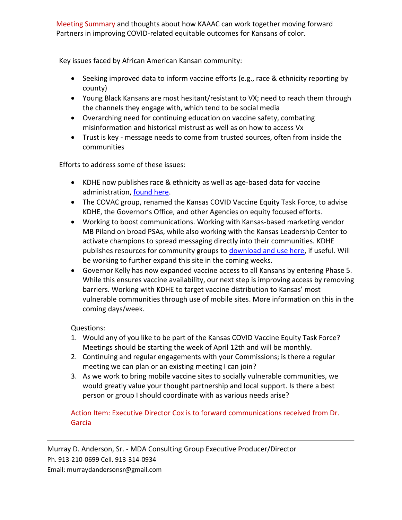Meeting Summary and thoughts about how KAAAC can work together moving forward Partners in improving COVID-related equitable outcomes for Kansans of color.

Key issues faced by African American Kansan community:

- Seeking improved data to inform vaccine efforts (e.g., race & ethnicity reporting by county)
- Young Black Kansans are most hesitant/resistant to VX; need to reach them through the channels they engage with, which tend to be social media
- Overarching need for continuing education on vaccine safety, combating misinformation and historical mistrust as well as on how to access Vx
- Trust is key message needs to come from trusted sources, often from inside the communities

Efforts to address some of these issues:

- KDHE now publishes race & ethnicity as well as age-based data for vaccine administration, [found here.](https://www.kansasvaccine.gov/158/Data)
- The COVAC group, renamed the Kansas COVID Vaccine Equity Task Force, to advise KDHE, the Governor's Office, and other Agencies on equity focused efforts.
- Working to boost communications. Working with Kansas-based marketing vendor MB Piland on broad PSAs, while also working with the Kansas Leadership Center to activate champions to spread messaging directly into their communities. KDHE publishes resources for community groups to [download and use here,](https://www.coronavirus.kdheks.gov/265/Publications) if useful. Will be working to further expand this site in the coming weeks.
- Governor Kelly has now expanded vaccine access to all Kansans by entering Phase 5. While this ensures vaccine availability, our next step is improving access by removing barriers. Working with KDHE to target vaccine distribution to Kansas' most vulnerable communities through use of mobile sites. More information on this in the coming days/week.

Questions:

- 1. Would any of you like to be part of the Kansas COVID Vaccine Equity Task Force? Meetings should be starting the week of April 12th and will be monthly.
- 2. Continuing and regular engagements with your Commissions; is there a regular meeting we can plan or an existing meeting I can join?
- 3. As we work to bring mobile vaccine sites to socially vulnerable communities, we would greatly value your thought partnership and local support. Is there a best person or group I should coordinate with as various needs arise?

Action Item: Executive Director Cox is to forward communications received from Dr. Garcia